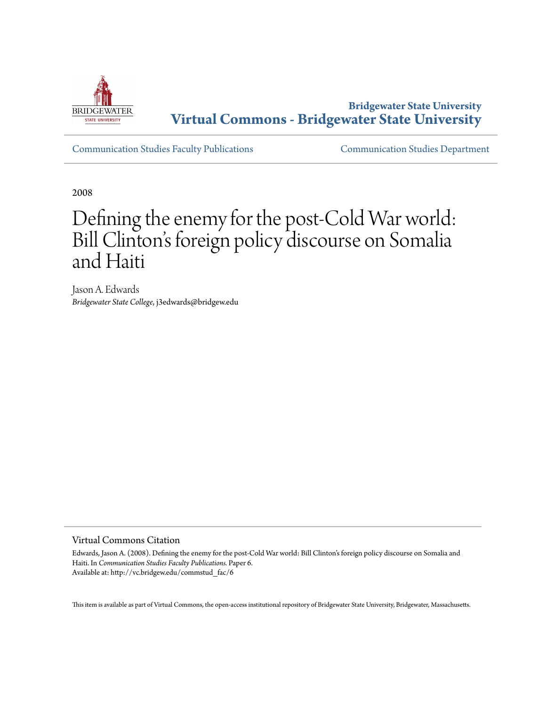

**Bridgewater State University [Virtual Commons - Bridgewater State University](http://vc.bridgew.edu)**

[Communication Studies Faculty Publications](http://vc.bridgew.edu/commstud_fac) [Communication Studies Department](http://vc.bridgew.edu/commstud)

2008

# Defining the enemy for the post-Cold War world: Bill Clinton 's foreign policy discourse on Somalia and Haiti

Jason A. Edwards *Bridgewater State College*, j3edwards@bridgew.edu

## Virtual Commons Citation

Edwards, Jason A. (2008). Defining the enemy for the post-Cold War world: Bill Clinton's foreign policy discourse on Somalia and Haiti. In *Communication Studies Faculty Publications.* Paper 6. Available at: http://vc.bridgew.edu/commstud\_fac/6

This item is available as part of Virtual Commons, the open-access institutional repository of Bridgewater State University, Bridgewater, Massachusetts.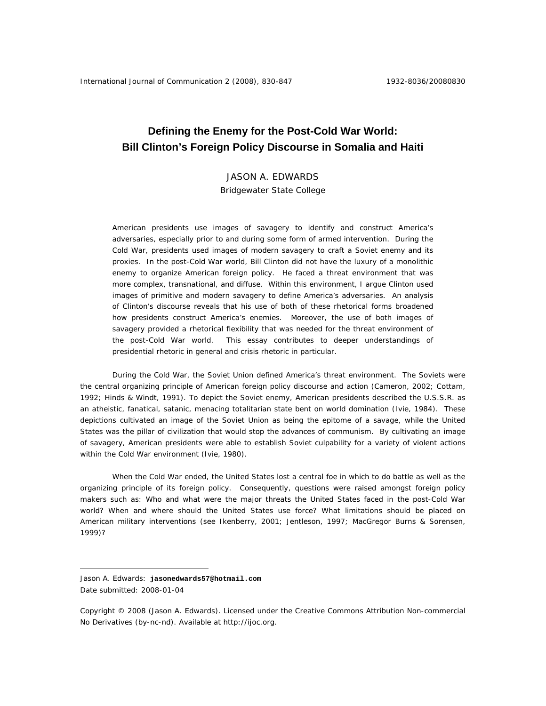# **Defining the Enemy for the Post-Cold War World: Bill Clinton's Foreign Policy Discourse in Somalia and Haiti**

# JASON A. EDWARDS

Bridgewater State College

American presidents use images of savagery to identify and construct America's adversaries, especially prior to and during some form of armed intervention. During the Cold War, presidents used images of modern savagery to craft a Soviet enemy and its proxies. In the post-Cold War world, Bill Clinton did not have the luxury of a monolithic enemy to organize American foreign policy. He faced a threat environment that was more complex, transnational, and diffuse. Within this environment, I argue Clinton used images of primitive and modern savagery to define America's adversaries. An analysis of Clinton's discourse reveals that his use of both of these rhetorical forms broadened how presidents construct America's enemies. Moreover, the use of both images of savagery provided a rhetorical flexibility that was needed for the threat environment of the post-Cold War world. This essay contributes to deeper understandings of presidential rhetoric in general and crisis rhetoric in particular.

During the Cold War, the Soviet Union defined America's threat environment. The Soviets were the central organizing principle of American foreign policy discourse and action (Cameron, 2002; Cottam, 1992; Hinds & Windt, 1991). To depict the Soviet enemy, American presidents described the U.S.S.R. as an atheistic, fanatical, satanic, menacing totalitarian state bent on world domination (Ivie, 1984). These depictions cultivated an image of the Soviet Union as being the epitome of a savage, while the United States was the pillar of civilization that would stop the advances of communism. By cultivating an image of savagery, American presidents were able to establish Soviet culpability for a variety of violent actions within the Cold War environment (Ivie, 1980).

 When the Cold War ended, the United States lost a central foe in which to do battle as well as the organizing principle of its foreign policy. Consequently, questions were raised amongst foreign policy makers such as: Who and what were the major threats the United States faced in the post-Cold War world? When and where should the United States use force? What limitations should be placed on American military interventions (see Ikenberry, 2001; Jentleson, 1997; MacGregor Burns & Sorensen, 1999)?

 $\overline{a}$ 

Jason A. Edwards: **jasonedwards57@hotmail.com** Date submitted: 2008-01-04

Copyright © 2008 (Jason A. Edwards). Licensed under the Creative Commons Attribution Non-commercial No Derivatives (by-nc-nd). Available at http://ijoc.org.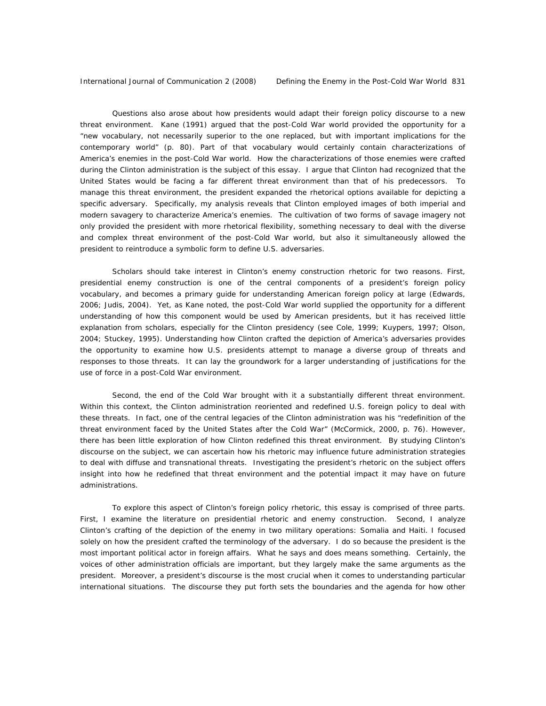Questions also arose about how presidents would adapt their foreign policy discourse to a new threat environment. Kane (1991) argued that the post-Cold War world provided the opportunity for a "new vocabulary, not necessarily superior to the one replaced, but with important implications for the contemporary world" (p. 80). Part of that vocabulary would certainly contain characterizations of America's enemies in the post-Cold War world. *How* the characterizations of those enemies were crafted during the Clinton administration is the subject of this essay. I argue that Clinton had recognized that the United States would be facing a far different threat environment than that of his predecessors. To manage this threat environment, the president expanded the rhetorical options available for depicting a specific adversary. Specifically, my analysis reveals that Clinton employed images of both imperial and modern savagery to characterize America's enemies. The cultivation of two forms of savage imagery not only provided the president with more rhetorical flexibility, something necessary to deal with the diverse and complex threat environment of the post-Cold War world, but also it simultaneously allowed the president to reintroduce a symbolic form to define U.S. adversaries.

Scholars should take interest in Clinton's enemy construction rhetoric for two reasons. First, presidential enemy construction is one of the central components of a president's foreign policy vocabulary, and becomes a primary guide for understanding American foreign policy at large (Edwards, 2006; Judis, 2004). Yet, as Kane noted, the post-Cold War world supplied the opportunity for a different understanding of how this component would be used by American presidents, but it has received little explanation from scholars, especially for the Clinton presidency (see Cole, 1999; Kuypers, 1997; Olson, 2004; Stuckey, 1995). Understanding how Clinton crafted the depiction of America's adversaries provides the opportunity to examine how U.S. presidents attempt to manage a diverse group of threats and responses to those threats. It can lay the groundwork for a larger understanding of justifications for the use of force in a post-Cold War environment.

Second, the end of the Cold War brought with it a substantially different threat environment. Within this context, the Clinton administration reoriented and redefined U.S. foreign policy to deal with these threats. In fact, one of the central legacies of the Clinton administration was his "redefinition of the threat environment faced by the United States after the Cold War" (McCormick, 2000, p. 76). However, there has been little exploration of *how* Clinton redefined this threat environment. By studying Clinton's discourse on the subject, we can ascertain how his rhetoric may influence future administration strategies to deal with diffuse and transnational threats. Investigating the president's rhetoric on the subject offers insight into how he redefined that threat environment and the potential impact it may have on future administrations.

To explore this aspect of Clinton's foreign policy rhetoric, this essay is comprised of three parts. First, I examine the literature on presidential rhetoric and enemy construction. Second, I analyze Clinton's crafting of the depiction of the enemy in two military operations: Somalia and Haiti. I focused solely on how the president crafted the terminology of the adversary. I do so because the president is the most important political actor in foreign affairs. What he says and does means something. Certainly, the voices of other administration officials are important, but they largely make the same arguments as the president. Moreover, a president's discourse is the most crucial when it comes to understanding particular international situations. The discourse they put forth sets the boundaries and the agenda for how other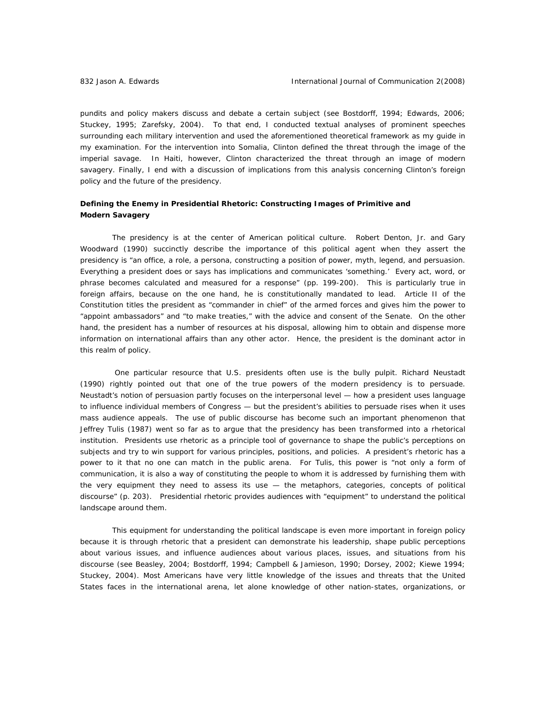pundits and policy makers discuss and debate a certain subject (see Bostdorff, 1994; Edwards, 2006; Stuckey, 1995; Zarefsky, 2004). To that end, I conducted textual analyses of prominent speeches surrounding each military intervention and used the aforementioned theoretical framework as my guide in my examination. For the intervention into Somalia, Clinton defined the threat through the image of the imperial savage. In Haiti, however, Clinton characterized the threat through an image of modern savagery. Finally, I end with a discussion of implications from this analysis concerning Clinton's foreign policy and the future of the presidency.

### *Defining the Enemy in Presidential Rhetoric: Constructing Images of Primitive and Modern Savagery*

The presidency is at the center of American political culture. Robert Denton, Jr. and Gary Woodward (1990) succinctly describe the importance of this political agent when they assert the presidency is "an office, a role, a persona, constructing a position of power, myth, legend, and persuasion. Everything a president does or says has implications and communicates 'something.' Every act, word, or phrase becomes calculated and measured for a response" (pp. 199-200). This is particularly true in foreign affairs, because on the one hand, he is constitutionally mandated to lead. Article II of the Constitution titles the president as "commander in chief" of the armed forces and gives him the power to "appoint ambassadors" and "to make treaties," with the advice and consent of the Senate. On the other hand, the president has a number of resources at his disposal, allowing him to obtain and dispense more information on international affairs than any other actor. Hence, the president is the dominant actor in this realm of policy.

 One particular resource that U.S. presidents often use is the bully pulpit. Richard Neustadt (1990) rightly pointed out that one of the true powers of the modern presidency is to persuade. Neustadt's notion of persuasion partly focuses on the interpersonal level — how a president uses language to influence individual members of Congress — but the president's abilities to persuade rises when it uses mass audience appeals. The use of public discourse has become such an important phenomenon that Jeffrey Tulis (1987) went so far as to argue that the presidency has been transformed into a rhetorical institution. Presidents use rhetoric as a principle tool of governance to shape the public's perceptions on subjects and try to win support for various principles, positions, and policies. A president's rhetoric has a power to it that no one can match in the public arena. For Tulis, this power is "not only a form of communication, it is also a way of constituting the people to whom it is addressed by furnishing them with the very equipment they need to assess its use — the metaphors, categories, concepts of political discourse" (p. 203). Presidential rhetoric provides audiences with "equipment" to understand the political landscape around them.

This equipment for understanding the political landscape is even more important in foreign policy because it is through rhetoric that a president can demonstrate his leadership, shape public perceptions about various issues, and influence audiences about various places, issues, and situations from his discourse (see Beasley, 2004; Bostdorff, 1994; Campbell & Jamieson, 1990; Dorsey, 2002; Kiewe 1994; Stuckey, 2004). Most Americans have very little knowledge of the issues and threats that the United States faces in the international arena, let alone knowledge of other nation-states, organizations, or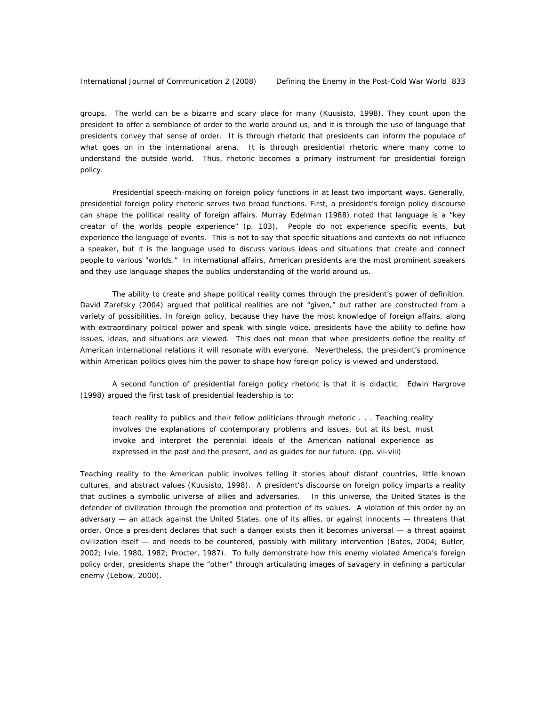groups. The world can be a bizarre and scary place for many (Kuusisto, 1998). They count upon the president to offer a semblance of order to the world around us, and it is through the use of language that presidents convey that sense of order. It is through rhetoric that presidents can inform the populace of what goes on in the international arena. It is through presidential rhetoric where many come to understand the outside world. Thus, rhetoric becomes a primary instrument for presidential foreign policy.

Presidential speech-making on foreign policy functions in at least two important ways. Generally, presidential foreign policy rhetoric serves two broad functions. First, a president's foreign policy discourse can shape the political reality of foreign affairs. Murray Edelman (1988) noted that language is a "key creator of the worlds people experience" (p. 103). People do not experience specific events, but experience the language of events. This is not to say that specific situations and contexts do not influence a speaker, but it is the language used to discuss various ideas and situations that create and connect people to various "worlds." In international affairs, American presidents are the most prominent speakers and they use language shapes the publics understanding of the world around us.

The ability to create and shape political reality comes through the president's power of definition. David Zarefsky (2004) argued that political realities are not "given," but rather are constructed from a variety of possibilities. In foreign policy, because they have the most knowledge of foreign affairs, along with extraordinary political power and speak with single voice, presidents have the ability to define how issues, ideas, and situations are viewed. This does not mean that when presidents define the reality of American international relations it will resonate with everyone. Nevertheless, the president's prominence within American politics gives him the power to shape how foreign policy is viewed and understood.

A second function of presidential foreign policy rhetoric is that it is didactic. Edwin Hargrove (1998) argued the first task of presidential leadership is to:

teach reality to publics and their fellow politicians through rhetoric . . . Teaching reality involves the explanations of contemporary problems and issues, but at its best, must invoke and interpret the perennial ideals of the American national experience as expressed in the past and the present, and as guides for our future. (pp. vii-viii)

Teaching reality to the American public involves telling it stories about distant countries, little known cultures, and abstract values (Kuusisto, 1998). A president's discourse on foreign policy imparts a reality that outlines a symbolic universe of allies and adversaries. In this universe, the United States is the defender of civilization through the promotion and protection of its values. A violation of this order by an adversary — an attack against the United States, one of its allies, or against innocents — threatens that order. Once a president declares that such a danger exists then it becomes universal — a threat against civilization itself — and needs to be countered, possibly with military intervention (Bates, 2004; Butler, 2002; Ivie, 1980, 1982; Procter, 1987). To fully demonstrate how this enemy violated America's foreign policy order, presidents shape the "other" through articulating images of savagery in defining a particular enemy (Lebow, 2000).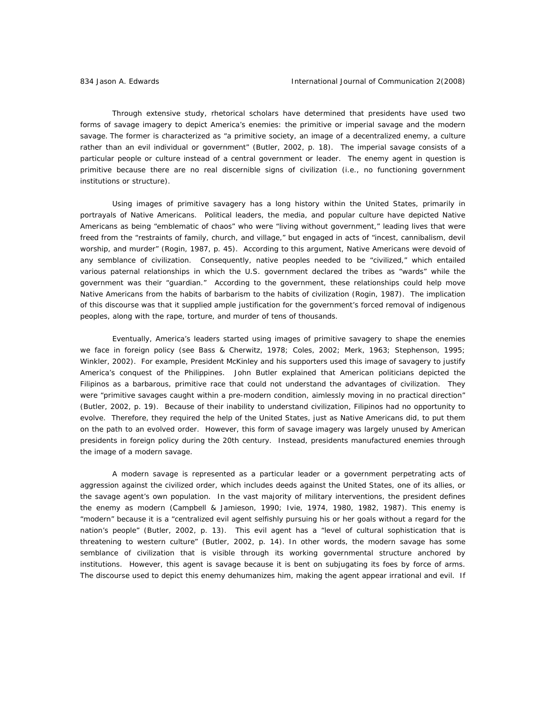Through extensive study, rhetorical scholars have determined that presidents have used two forms of savage imagery to depict America's enemies: the primitive or imperial savage and the modern savage. The former is characterized as "a primitive society, an image of a decentralized enemy, a culture rather than an evil individual or government" (Butler, 2002, p. 18). The imperial savage consists of a particular people or culture instead of a central government or leader. The enemy agent in question is primitive because there are no real discernible signs of civilization (i.e., no functioning government institutions or structure).

Using images of primitive savagery has a long history within the United States, primarily in portrayals of Native Americans. Political leaders, the media, and popular culture have depicted Native Americans as being "emblematic of chaos" who were "living without government," leading lives that were freed from the "restraints of family, church, and village," but engaged in acts of "incest, cannibalism, devil worship, and murder" (Rogin, 1987, p. 45). According to this argument, Native Americans were devoid of any semblance of civilization. Consequently, native peoples needed to be "civilized," which entailed various paternal relationships in which the U.S. government declared the tribes as "wards" while the government was their "guardian." According to the government, these relationships could help move Native Americans from the habits of barbarism to the habits of civilization (Rogin, 1987). The implication of this discourse was that it supplied ample justification for the government's forced removal of indigenous peoples, along with the rape, torture, and murder of tens of thousands.

Eventually, America's leaders started using images of primitive savagery to shape the enemies we face in foreign policy (see Bass & Cherwitz, 1978; Coles, 2002; Merk, 1963; Stephenson, 1995; Winkler, 2002). For example, President McKinley and his supporters used this image of savagery to justify America's conquest of the Philippines. John Butler explained that American politicians depicted the Filipinos as a barbarous, primitive race that could not understand the advantages of civilization. They were "primitive savages caught within a pre-modern condition, aimlessly moving in no practical direction" (Butler, 2002, p. 19). Because of their inability to understand civilization, Filipinos had no opportunity to evolve. Therefore, they required the help of the United States, just as Native Americans did, to put them on the path to an evolved order. However, this form of savage imagery was largely unused by American presidents in foreign policy during the 20th century. Instead, presidents manufactured enemies through the image of a modern savage.

A modern savage is represented as a particular leader or a government perpetrating acts of aggression against the civilized order, which includes deeds against the United States, one of its allies, or the savage agent's own population. In the vast majority of military interventions, the president defines the enemy as modern (Campbell & Jamieson, 1990; Ivie, 1974, 1980, 1982, 1987). This enemy is "modern" because it is a "centralized evil agent selfishly pursuing his or her goals without a regard for the nation's people" (Butler, 2002, p. 13). This evil agent has a "level of cultural sophistication that is threatening to western culture" (Butler, 2002, p. 14). In other words, the modern savage has some semblance of civilization that is *visible* through its working governmental structure anchored by institutions. However, this agent is *savage* because it is bent on subjugating its foes by force of arms. The discourse used to depict this enemy dehumanizes him, making the agent appear irrational and evil. If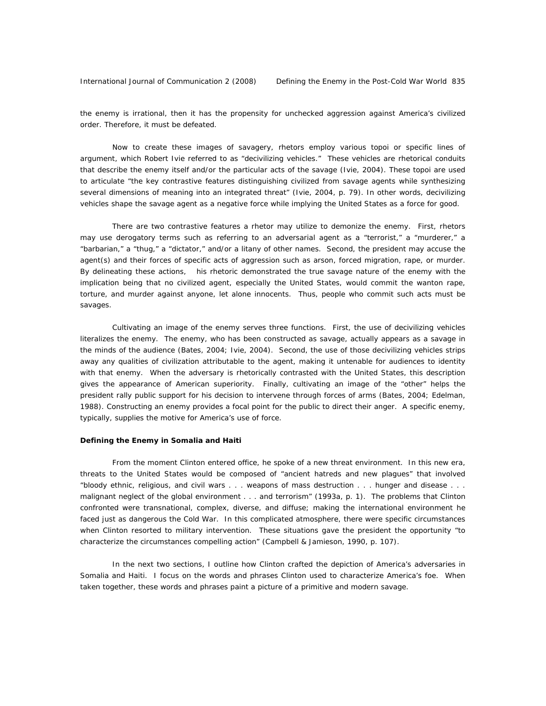the enemy is irrational, then it has the propensity for unchecked aggression against America's civilized order. Therefore, it must be defeated.

Now to create these images of savagery, rhetors employ various *topoi* or specific lines of argument, which Robert Ivie referred to as "decivilizing vehicles." These vehicles are rhetorical conduits that describe the enemy itself and/or the particular acts of the savage (Ivie, 2004). These *topoi* are used to articulate "the key contrastive features distinguishing civilized from savage agents while synthesizing several dimensions of meaning into an integrated threat" (Ivie, 2004, p. 79). In other words, decivilizing vehicles shape the savage agent as a negative force while implying the United States as a force for good.

There are two contrastive features a rhetor may utilize to demonize the enemy. First, rhetors may use derogatory terms such as referring to an adversarial agent as a "terrorist," a "murderer," a "barbarian," a "thug," a "dictator," and/or a litany of other names. Second, the president may accuse the agent(s) and their forces of specific acts of aggression such as arson, forced migration, rape, or murder. By delineating these actions, his rhetoric demonstrated the true savage nature of the enemy with the implication being that no civilized agent, especially the United States, would commit the wanton rape, torture, and murder against anyone, let alone innocents. Thus, people who commit such acts must be savages.

Cultivating an image of the enemy serves three functions. First, the use of decivilizing vehicles literalizes the enemy. The enemy, who has been constructed as savage, actually appears as a savage in the minds of the audience (Bates, 2004; Ivie, 2004). Second, the use of those decivilizing vehicles strips away any qualities of civilization attributable to the agent, making it untenable for audiences to identity with that enemy. When the adversary is rhetorically contrasted with the United States, this description gives the appearance of American superiority. Finally, cultivating an image of the "other" helps the president rally public support for his decision to intervene through forces of arms (Bates, 2004; Edelman, 1988). Constructing an enemy provides a focal point for the public to direct their anger. A specific enemy, typically, supplies the motive for America's use of force.

#### *Defining the Enemy in Somalia and Haiti*

 From the moment Clinton entered office, he spoke of a new threat environment. In this new era, threats to the United States would be composed of "ancient hatreds and new plagues" that involved "bloody ethnic, religious, and civil wars . . . weapons of mass destruction . . . hunger and disease . . . malignant neglect of the global environment . . . and terrorism" (1993a, p. 1). The problems that Clinton confronted were transnational, complex, diverse, and diffuse; making the international environment he faced just as dangerous the Cold War. In this complicated atmosphere, there were specific circumstances when Clinton resorted to military intervention. These situations gave the president the opportunity "to characterize the circumstances compelling action" (Campbell & Jamieson, 1990, p. 107).

In the next two sections, I outline how Clinton crafted the depiction of America's adversaries in Somalia and Haiti. I focus on the words and phrases Clinton used to characterize America's foe. When taken together, these words and phrases paint a picture of a primitive and modern savage.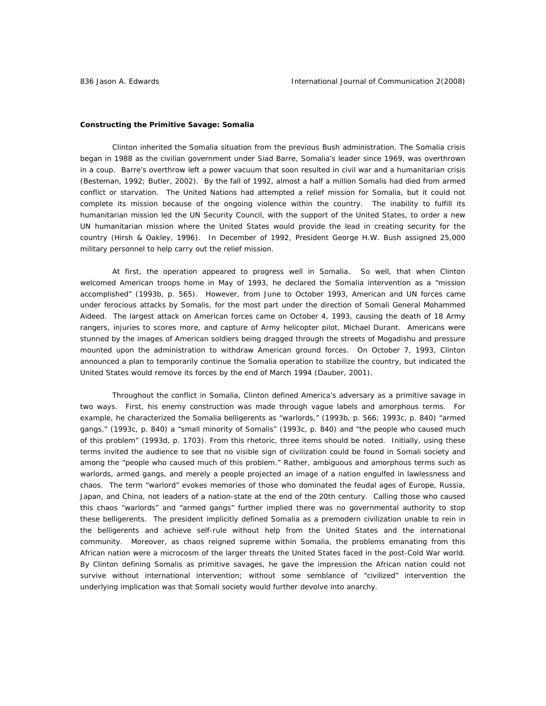#### *Constructing the Primitive Savage: Somalia*

Clinton inherited the Somalia situation from the previous Bush administration. The Somalia crisis began in 1988 as the civilian government under Siad Barre, Somalia's leader since 1969, was overthrown in a coup. Barre's overthrow left a power vacuum that soon resulted in civil war and a humanitarian crisis (Besteman, 1992; Butler, 2002). By the fall of 1992, almost a half a million Somalis had died from armed conflict or starvation. The United Nations had attempted a relief mission for Somalia, but it could not complete its mission because of the ongoing violence within the country. The inability to fulfill its humanitarian mission led the UN Security Council, with the support of the United States, to order a new UN humanitarian mission where the United States would provide the lead in creating security for the country (Hirsh & Oakley, 1996). In December of 1992, President George H.W. Bush assigned 25,000 military personnel to help carry out the relief mission.

At first, the operation appeared to progress well in Somalia. So well, that when Clinton welcomed American troops home in May of 1993, he declared the Somalia intervention as a "mission accomplished" (1993b, p. 565). However, from June to October 1993, American and UN forces came under ferocious attacks by Somalis, for the most part under the direction of Somali General Mohammed Aideed. The largest attack on American forces came on October 4, 1993, causing the death of 18 Army rangers, injuries to scores more, and capture of Army helicopter pilot, Michael Durant. Americans were stunned by the images of American soldiers being dragged through the streets of Mogadishu and pressure mounted upon the administration to withdraw American ground forces. On October 7, 1993, Clinton announced a plan to temporarily continue the Somalia operation to stabilize the country, but indicated the United States would remove its forces by the end of March 1994 (Dauber, 2001).

Throughout the conflict in Somalia, Clinton defined America's adversary as a primitive savage in two ways. First, his enemy construction was made through vague labels and amorphous terms. For example, he characterized the Somalia belligerents as "warlords," (1993b, p. 566; 1993c, p. 840) "armed gangs," (1993c, p. 840) a "small minority of Somalis" (1993c, p. 840) and "the people who caused much of this problem" (1993d, p. 1703). From this rhetoric, three items should be noted. Initially, using these terms invited the audience to see that no visible sign of civilization could be found in Somali society and among the "people who caused much of this problem." Rather, ambiguous and amorphous terms such as *warlords*, *armed gangs*, and *merely a people* projected an image of a nation engulfed in lawlessness and chaos. The term "warlord" evokes memories of those who dominated the feudal ages of Europe, Russia, Japan, and China, not leaders of a nation-state at the end of the 20th century. Calling those who caused this chaos "warlords" and "armed gangs" further implied there was no governmental authority to stop these belligerents. The president implicitly defined Somalia as a premodern civilization unable to rein in the belligerents and achieve self-rule without help from the United States and the international community. Moreover, as chaos reigned supreme within Somalia, the problems emanating from this African nation were a microcosm of the larger threats the United States faced in the post-Cold War world. By Clinton defining Somalis as primitive savages, he gave the impression the African nation could not survive without international intervention; without some semblance of "civilized" intervention the underlying implication was that Somali society would further devolve into anarchy.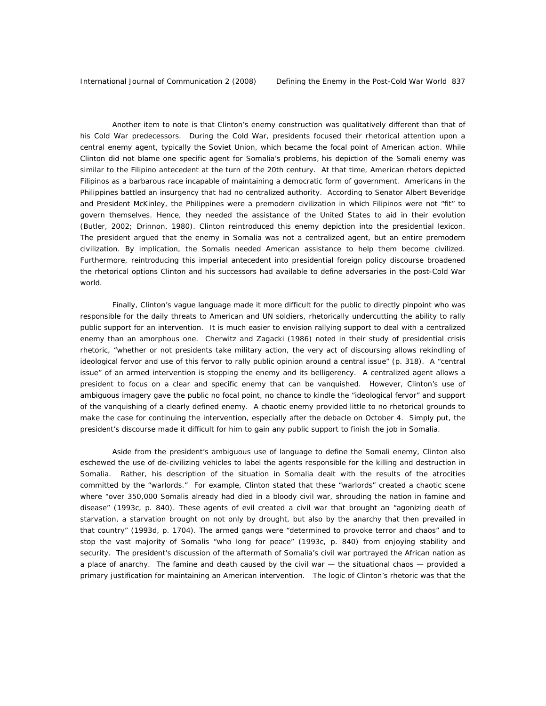Another item to note is that Clinton's enemy construction was qualitatively different than that of his Cold War predecessors. During the Cold War, presidents focused their rhetorical attention upon a central enemy agent, typically the Soviet Union, which became the focal point of American action. While Clinton did not blame one specific agent for Somalia's problems, his depiction of the Somali enemy was similar to the Filipino antecedent at the turn of the 20th century. At that time, American rhetors depicted Filipinos as a barbarous race incapable of maintaining a democratic form of government. Americans in the Philippines battled an insurgency that had no centralized authority. According to Senator Albert Beveridge and President McKinley, the Philippines were a premodern civilization in which Filipinos were not "fit" to govern themselves. Hence, they needed the assistance of the United States to aid in their evolution (Butler, 2002; Drinnon, 1980). Clinton reintroduced this enemy depiction into the presidential lexicon. The president argued that the enemy in Somalia was not a centralized agent, but an entire premodern civilization. By implication, the Somalis needed American assistance to help them become civilized. Furthermore, reintroducing this imperial antecedent into presidential foreign policy discourse broadened the rhetorical options Clinton and his successors had available to define adversaries in the post-Cold War world.

Finally, Clinton's vague language made it more difficult for the public to directly pinpoint who was responsible for the daily threats to American and UN soldiers, rhetorically undercutting the ability to rally public support for an intervention. It is much easier to envision rallying support to deal with a centralized enemy than an amorphous one. Cherwitz and Zagacki (1986) noted in their study of presidential crisis rhetoric, "whether or not presidents take military action, the very act of discoursing allows rekindling of ideological fervor and use of this fervor to rally public opinion around a central issue" (p. 318). A "central issue" of an armed intervention is stopping the enemy and its belligerency. A centralized agent allows a president to focus on a clear and specific enemy that can be vanquished. However, Clinton's use of ambiguous imagery gave the public no focal point, no chance to kindle the "ideological fervor" and support of the vanquishing of a clearly defined enemy. A chaotic enemy provided little to no rhetorical grounds to make the case for continuing the intervention, especially after the debacle on October 4. Simply put, the president's discourse made it difficult for him to gain any public support to finish the job in Somalia.

Aside from the president's ambiguous use of language to define the Somali enemy, Clinton also eschewed the use of de-civilizing vehicles to label the agents responsible for the killing and destruction in Somalia. Rather, his description of the situation in Somalia dealt with the *results* of the atrocities committed by the "warlords." For example, Clinton stated that these "warlords" created a chaotic scene where "over 350,000 Somalis already had died in a bloody civil war, shrouding the nation in famine and disease" (1993c, p. 840). These agents of evil created a civil war that brought an "agonizing death of starvation, a starvation brought on not only by drought, but also by the anarchy that then prevailed in that country" (1993d, p. 1704). The armed gangs were "determined to provoke terror and chaos" and to stop the vast majority of Somalis "who long for peace" (1993c, p. 840) from enjoying stability and security. The president's discussion of the aftermath of Somalia's civil war portrayed the African nation as a place of anarchy. The famine and death caused by the civil war — the situational chaos — provided a primary justification for maintaining an American intervention. The logic of Clinton's rhetoric was that the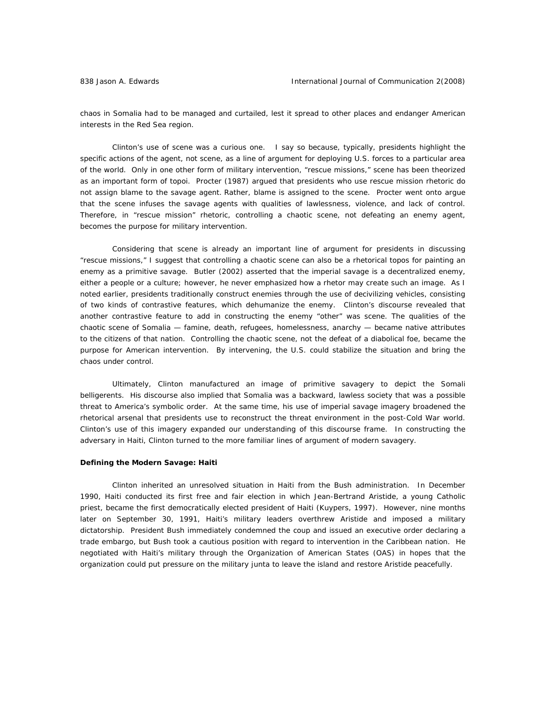chaos in Somalia had to be managed and curtailed, lest it spread to other places and endanger American interests in the Red Sea region.

Clinton's use of scene was a curious one. I say so because, typically, presidents highlight the specific actions of the agent, not scene, as a line of argument for deploying U.S. forces to a particular area of the world. Only in one other form of military intervention, "rescue missions," scene has been theorized as an important form of *topoi*. Procter (1987) argued that presidents who use rescue mission rhetoric do not assign blame to the savage agent. Rather, blame is assigned to the scene. Procter went onto argue that the scene infuses the savage agents with qualities of lawlessness, violence, and lack of control. Therefore, in "rescue mission" rhetoric, controlling a chaotic scene, not defeating an enemy agent, becomes the purpose for military intervention.

Considering that scene is already an important line of argument for presidents in discussing "rescue missions," I suggest that controlling a chaotic scene can also be a rhetorical *topos* for painting an enemy as a primitive savage. Butler (2002) asserted that the imperial savage is a decentralized enemy, either a people or a culture; however, he never emphasized how a rhetor may create such an image. As I noted earlier, presidents traditionally construct enemies through the use of decivilizing vehicles, consisting of two kinds of contrastive features, which dehumanize the enemy. Clinton's discourse revealed that another contrastive feature to add in constructing the enemy "other" was scene. The qualities of the chaotic scene of Somalia — famine, death, refugees, homelessness, anarchy — became native attributes to the citizens of that nation. Controlling the chaotic scene, not the defeat of a diabolical foe, became the purpose for American intervention. By intervening, the U.S. could stabilize the situation and bring the chaos under control.

Ultimately, Clinton manufactured an image of primitive savagery to depict the Somali belligerents. His discourse also implied that Somalia was a backward, lawless society that was a possible threat to America's symbolic order. At the same time, his use of imperial savage imagery broadened the rhetorical arsenal that presidents use to reconstruct the threat environment in the post-Cold War world. Clinton's use of this imagery expanded our understanding of this discourse frame. In constructing the adversary in Haiti, Clinton turned to the more familiar lines of argument of modern savagery.

#### *Defining the Modern Savage: Haiti*

 Clinton inherited an unresolved situation in Haiti from the Bush administration. In December 1990, Haiti conducted its first free and fair election in which Jean-Bertrand Aristide, a young Catholic priest, became the first democratically elected president of Haiti (Kuypers, 1997). However, nine months later on September 30, 1991, Haiti's military leaders overthrew Aristide and imposed a military dictatorship. President Bush immediately condemned the coup and issued an executive order declaring a trade embargo, but Bush took a cautious position with regard to intervention in the Caribbean nation. He negotiated with Haiti's military through the Organization of American States (OAS) in hopes that the organization could put pressure on the military junta to leave the island and restore Aristide peacefully.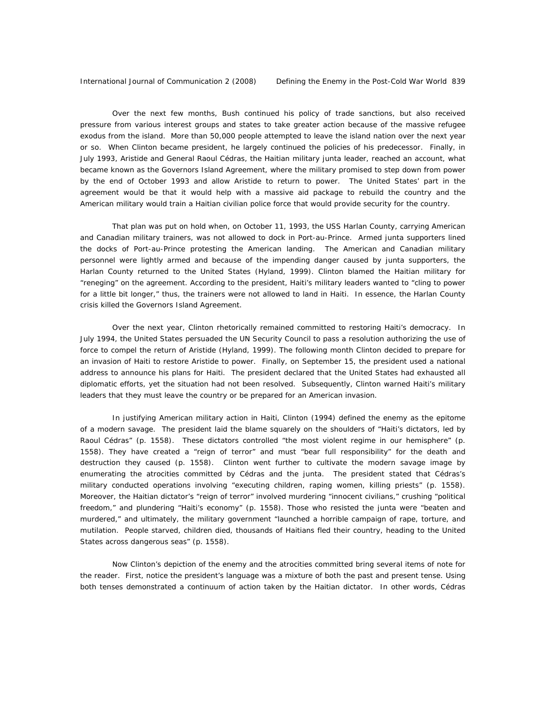Over the next few months, Bush continued his policy of trade sanctions, but also received pressure from various interest groups and states to take greater action because of the massive refugee exodus from the island. More than 50,000 people attempted to leave the island nation over the next year or so. When Clinton became president, he largely continued the policies of his predecessor. Finally, in July 1993, Aristide and General Raoul Cédras, the Haitian military junta leader, reached an account, what became known as the Governors Island Agreement, where the military promised to step down from power by the end of October 1993 and allow Aristide to return to power. The United States' part in the agreement would be that it would help with a massive aid package to rebuild the country and the American military would train a Haitian civilian police force that would provide security for the country.

That plan was put on hold when, on October 11, 1993, the *USS Harlan County,* carrying American and Canadian military trainers, was not allowed to dock in Port-au-Prince. Armed junta supporters lined the docks of Port-au-Prince protesting the American landing. The American and Canadian military personnel were lightly armed and because of the impending danger caused by junta supporters, the *Harlan County* returned to the United States (Hyland, 1999). Clinton blamed the Haitian military for "reneging" on the agreement. According to the president, Haiti's military leaders wanted to "cling to power for a little bit longer," thus, the trainers were not allowed to land in Haiti. In essence, the *Harlan County*  crisis killed the Governors Island Agreement.

 Over the next year, Clinton rhetorically remained committed to restoring Haiti's democracy. In July 1994, the United States persuaded the UN Security Council to pass a resolution authorizing the use of force to compel the return of Aristide (Hyland, 1999). The following month Clinton decided to prepare for an invasion of Haiti to restore Aristide to power. Finally, on September 15, the president used a national address to announce his plans for Haiti. The president declared that the United States had exhausted all diplomatic efforts, yet the situation had not been resolved. Subsequently, Clinton warned Haiti's military leaders that they must leave the country or be prepared for an American invasion.

In justifying American military action in Haiti, Clinton (1994) defined the enemy as the epitome of a modern savage. The president laid the blame squarely on the shoulders of "Haiti's dictators, led by Raoul Cédras" (p. 1558). These dictators controlled "the most violent regime in our hemisphere" (p. 1558). They have created a "reign of terror" and must "bear full responsibility" for the death and destruction they caused (p. 1558). Clinton went further to cultivate the modern savage image by enumerating the atrocities committed by Cédras and the junta. The president stated that Cédras's military conducted operations involving "executing children, raping women, killing priests" (p. 1558). Moreover, the Haitian dictator's "reign of terror" involved murdering "innocent civilians," crushing "political freedom," and plundering "Haiti's economy" (p. 1558). Those who resisted the junta were "beaten and murdered," and ultimately, the military government "launched a horrible campaign of rape, torture, and mutilation. People starved, children died, thousands of Haitians fled their country, heading to the United States across dangerous seas" (p. 1558).

Now Clinton's depiction of the enemy and the atrocities committed bring several items of note for the reader. First, notice the president's language was a mixture of both the past and present tense. Using both tenses demonstrated a continuum of action taken by the Haitian dictator. In other words, Cédras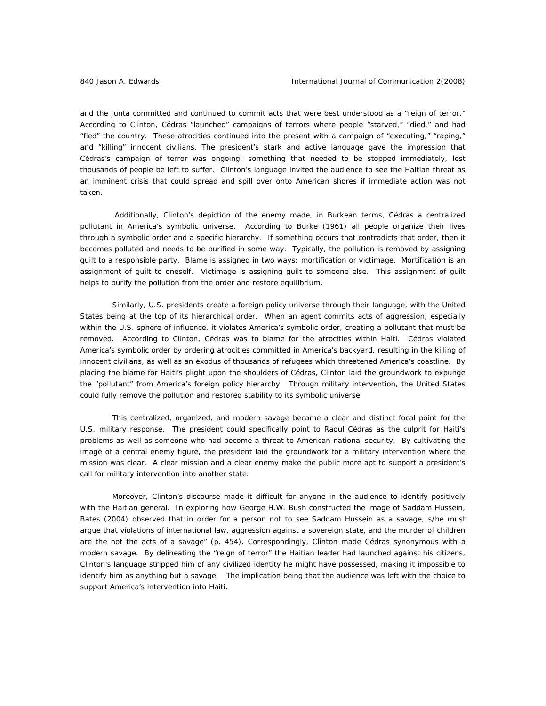and the junta committed and continued to commit acts that were best understood as a "reign of terror." According to Clinton, Cédras "launched" campaigns of terrors where people "starved," "died," and had "fled" the country. These atrocities continued into the present with a campaign of "executing," "raping," and "killing" innocent civilians. The president's stark and active language gave the impression that Cédras's campaign of terror was ongoing; something that needed to be stopped immediately, lest thousands of people be left to suffer. Clinton's language invited the audience to see the Haitian threat as an imminent crisis that could spread and spill over onto American shores if immediate action was not taken.

 Additionally, Clinton's depiction of the enemy made, in Burkean terms, Cédras a centralized pollutant in America's symbolic universe. According to Burke (1961) all people organize their lives through a symbolic order and a specific hierarchy. If something occurs that contradicts that order, then it becomes polluted and needs to be purified in some way. Typically, the pollution is removed by assigning guilt to a responsible party. Blame is assigned in two ways: mortification or victimage. Mortification is an assignment of guilt to oneself. Victimage is assigning guilt to someone else. This assignment of guilt helps to purify the pollution from the order and restore equilibrium.

Similarly, U.S. presidents create a foreign policy universe through their language, with the United States being at the top of its hierarchical order. When an agent commits acts of aggression, especially within the U.S. sphere of influence, it violates America's symbolic order, creating a pollutant that must be removed. According to Clinton, Cédras was to blame for the atrocities within Haiti. Cédras violated America's symbolic order by ordering atrocities committed in America's backyard, resulting in the killing of innocent civilians, as well as an exodus of thousands of refugees which threatened America's coastline. By placing the blame for Haiti's plight upon the shoulders of Cédras, Clinton laid the groundwork to expunge the "pollutant" from America's foreign policy hierarchy. Through military intervention, the United States could fully remove the pollution and restored stability to its symbolic universe.

This centralized, organized, and modern savage became a clear and distinct focal point for the U.S. military response. The president could specifically point to Raoul Cédras as the culprit for Haiti's problems as well as someone who had become a threat to American national security. By cultivating the image of a central enemy figure, the president laid the groundwork for a military intervention where the mission was clear. A clear mission and a clear enemy make the public more apt to support a president's call for military intervention into another state.

Moreover, Clinton's discourse made it difficult for anyone in the audience to identify positively with the Haitian general. In exploring how George H.W. Bush constructed the image of Saddam Hussein, Bates (2004) observed that in order for a person not to see Saddam Hussein as a savage, s/he must argue that violations of international law, aggression against a sovereign state, and the murder of children are the not the acts of a savage" (p. 454). Correspondingly, Clinton made Cédras synonymous with a modern savage. By delineating the "reign of terror" the Haitian leader had launched against his citizens, Clinton's language stripped him of any civilized identity he might have possessed, making it impossible to identify him as anything but a savage. The implication being that the audience was left with the choice to support America's intervention into Haiti.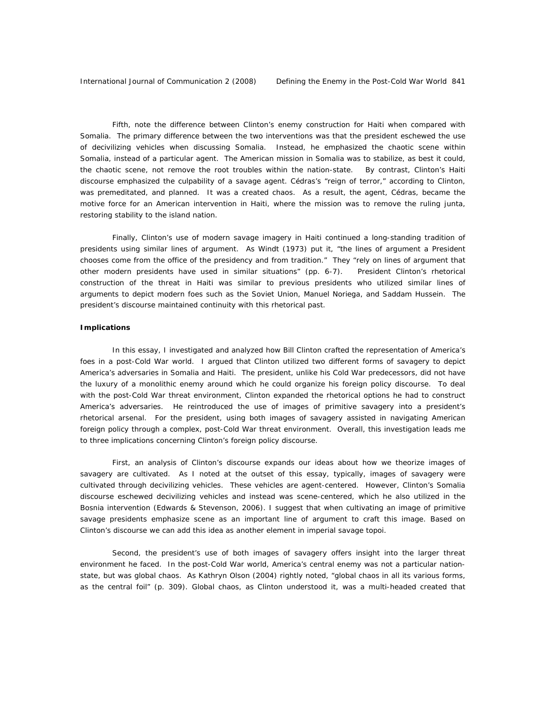Fifth, note the difference between Clinton's enemy construction for Haiti when compared with Somalia. The primary difference between the two interventions was that the president eschewed the use of decivilizing vehicles when discussing Somalia. Instead, he emphasized the chaotic scene within Somalia, instead of a particular agent. The American mission in Somalia was to stabilize, as best it could, the chaotic scene, not remove the root troubles within the nation-state. By contrast, Clinton's Haiti discourse emphasized the culpability of a savage agent. Cédras's "reign of terror," according to Clinton, was premeditated, and planned. It was a created chaos. As a result, the agent, Cédras, became the motive force for an American intervention in Haiti, where the mission was to remove the ruling junta, restoring stability to the island nation.

Finally, Clinton's use of modern savage imagery in Haiti continued a long-standing tradition of presidents using similar lines of argument. As Windt (1973) put it, "the lines of argument a President chooses come from the office of the presidency and from tradition." They "rely on lines of argument that other modern presidents have used in similar situations" (pp. 6-7). President Clinton's rhetorical construction of the threat in Haiti was similar to previous presidents who utilized similar lines of arguments to depict modern foes such as the Soviet Union, Manuel Noriega, and Saddam Hussein. The president's discourse maintained continuity with this rhetorical past.

#### *Implications*

 In this essay, I investigated and analyzed how Bill Clinton crafted the representation of America's foes in a post-Cold War world. I argued that Clinton utilized two different forms of savagery to depict America's adversaries in Somalia and Haiti. The president, unlike his Cold War predecessors, did not have the luxury of a monolithic enemy around which he could organize his foreign policy discourse. To deal with the post-Cold War threat environment, Clinton expanded the rhetorical options he had to construct America's adversaries. He reintroduced the use of images of primitive savagery into a president's rhetorical arsenal. For the president, using both images of savagery assisted in navigating American foreign policy through a complex, post-Cold War threat environment. Overall, this investigation leads me to three implications concerning Clinton's foreign policy discourse.

 First, an analysis of Clinton's discourse expands our ideas about how we theorize images of savagery are cultivated. As I noted at the outset of this essay, typically, images of savagery were cultivated through decivilizing vehicles. These vehicles are agent-centered. However, Clinton's Somalia discourse eschewed decivilizing vehicles and instead was scene-centered, which he also utilized in the Bosnia intervention (Edwards & Stevenson, 2006). I suggest that when cultivating an image of primitive savage presidents emphasize scene as an important line of argument to craft this image. Based on Clinton's discourse we can add this idea as another element in imperial savage *topoi*.

Second, the president's use of both images of savagery offers insight into the larger threat environment he faced. In the post-Cold War world, America's central enemy was not a particular nationstate, but was global chaos. As Kathryn Olson (2004) rightly noted, "global chaos in all its various forms, as the central foil" (p. 309). Global chaos, as Clinton understood it, was a multi-headed created that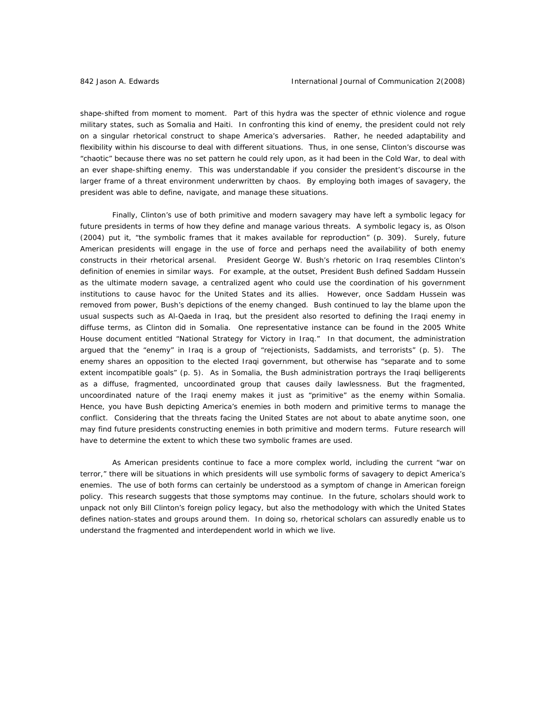shape-shifted from moment to moment. Part of this hydra was the specter of ethnic violence and rogue military states, such as Somalia and Haiti. In confronting this kind of enemy, the president could not rely on a singular rhetorical construct to shape America's adversaries. Rather, he needed adaptability and flexibility within his discourse to deal with different situations. Thus, in one sense, Clinton's discourse was "chaotic" because there was no set pattern he could rely upon, as it had been in the Cold War, to deal with an ever shape-shifting enemy. This was understandable if you consider the president's discourse in the larger frame of a threat environment underwritten by chaos. By employing both images of savagery, the president was able to define, navigate, and manage these situations.

Finally, Clinton's use of both primitive and modern savagery may have left a symbolic legacy for future presidents in terms of how they define and manage various threats. A symbolic legacy is, as Olson (2004) put it, "the symbolic frames that it makes available for reproduction" (p. 309). Surely, future American presidents will engage in the use of force and perhaps need the availability of both enemy constructs in their rhetorical arsenal. President George W. Bush's rhetoric on Iraq resembles Clinton's definition of enemies in similar ways. For example, at the outset, President Bush defined Saddam Hussein as the ultimate modern savage, a centralized agent who could use the coordination of his government institutions to cause havoc for the United States and its allies. However, once Saddam Hussein was removed from power, Bush's depictions of the enemy changed. Bush continued to lay the blame upon the usual suspects such as Al-Qaeda in Iraq, but the president also resorted to defining the Iraqi enemy in diffuse terms, as Clinton did in Somalia. One representative instance can be found in the 2005 White House document entitled "National Strategy for Victory in Iraq." In that document, the administration argued that the "enemy" in Iraq is a group of "rejectionists, Saddamists, and terrorists" (p. 5). The enemy shares an opposition to the elected Iraqi government, but otherwise has "separate and to some extent incompatible goals" (p. 5). As in Somalia, the Bush administration portrays the Iraqi belligerents as a diffuse, fragmented, uncoordinated group that causes daily lawlessness. But the fragmented, uncoordinated nature of the Iraqi enemy makes it just as "primitive" as the enemy within Somalia. Hence, you have Bush depicting America's enemies in both modern and primitive terms to manage the conflict. Considering that the threats facing the United States are not about to abate anytime soon, one may find future presidents constructing enemies in both primitive and modern terms. Future research will have to determine the extent to which these two symbolic frames are used.

As American presidents continue to face a more complex world, including the current "war on terror," there will be situations in which presidents will use symbolic forms of savagery to depict America's enemies. The use of both forms can certainly be understood as a symptom of change in American foreign policy. This research suggests that those symptoms may continue. In the future, scholars should work to unpack not only Bill Clinton's foreign policy legacy, but also the methodology with which the United States defines nation-states and groups around them. In doing so, rhetorical scholars can assuredly enable us to understand the fragmented and interdependent world in which we live.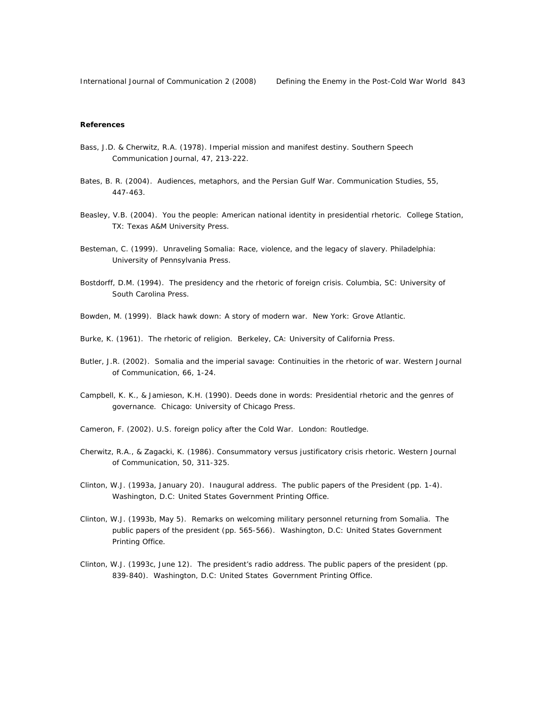#### **References**

- Bass, J.D. & Cherwitz, R.A. (1978). Imperial mission and manifest destiny. *Southern Speech Communication Journal,* 47*,* 213-222.
- Bates, B. R. (2004). Audiences, metaphors, and the Persian Gulf War. *Communication Studies,* 55, 447-463.
- Beasley, V.B. (2004). *You the people: American national identity in presidential rhetoric.* College Station, TX: Texas A&M University Press.
- Besteman, C. (1999). *Unraveling Somalia: Race, violence, and the legacy of slavery*. Philadelphia: University of Pennsylvania Press.
- Bostdorff, D.M. (1994). *The presidency and the rhetoric of foreign crisis.* Columbia, SC: University of South Carolina Press.
- Bowden, M. (1999). *Black hawk down: A story of modern war.* New York: Grove Atlantic.
- Burke, K. (1961). *The rhetoric of religion.* Berkeley, CA: University of California Press.
- Butler, J.R. (2002). Somalia and the imperial savage: Continuities in the rhetoric of war. *Western Journal of Communication,* 66, 1-24.
- Campbell, K. K., & Jamieson, K.H. (1990). *Deeds done in words: Presidential rhetoric and the genres of governance.* Chicago: University of Chicago Press.
- Cameron, F. (2002). *U.S. foreign policy after the Cold War*. London: Routledge.
- Cherwitz, R.A., & Zagacki, K. (1986). Consummatory versus justificatory crisis rhetoric. *Western Journal of Communication,* 50, 311-325.
- Clinton, W.J. (1993a, January 20). Inaugural address. *The public papers of the President* (pp. 1-4). Washington, D.C: United States Government Printing Office.
- Clinton, W.J. (1993b, May 5). Remarks on welcoming military personnel returning from Somalia. *The public papers of the president* (pp. 565-566). Washington, D.C: United States Government Printing Office.
- Clinton, W.J. (1993c, June 12). The president's radio address. *The public papers of the president* (pp. 839-840). Washington, D.C: United States Government Printing Office.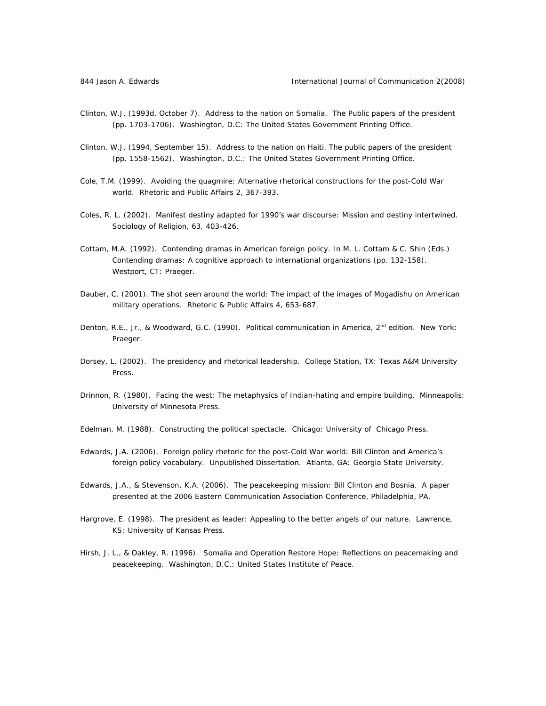- Clinton, W.J. (1993d, October 7). Address to the nation on Somalia. *The Public papers of the presiden*t (pp. 1703-1706). Washington, D.C: The United States Government Printing Office.
- Clinton, W.J. (1994, September 15). Address to the nation on Haiti. *The public papers of the president*  (pp. 1558-1562). Washington, D.C.: The United States Government Printing Office.
- Cole, T.M. (1999). Avoiding the quagmire: Alternative rhetorical constructions for the post-Cold War world. *Rhetoric and Public Affairs* 2, 367-393.
- Coles, R. L. (2002). Manifest destiny adapted for 1990's war discourse: Mission and destiny intertwined. *Sociology of Religion,* 63, 403-426.
- Cottam, M.A. (1992). Contending dramas in American foreign policy. In M. L. Cottam & C. Shin (Eds.) *Contending dramas: A cognitive approach to international organizations* (pp. 132-158). Westport, CT: Praeger.
- Dauber, C. (2001). The shot seen around the world: The impact of the images of Mogadishu on American military operations. *Rhetoric & Public Affairs* 4, 653-687.
- Denton, R.E., Jr., & Woodward, G.C. (1990). *Political communication in America, 2nd edition*. New York: Praeger.
- Dorsey, L. (2002). *The presidency and rhetorical leadership*. College Station, TX: Texas A&M University Press.
- Drinnon, R. (1980). *Facing the west: The metaphysics of Indian-hating and empire building.* Minneapolis: University of Minnesota Press.
- Edelman, M. (1988). *Constructing the political spectacle*. Chicago: University of Chicago Press.
- Edwards, J.A. (2006). *Foreign policy rhetoric for the post-Cold War world: Bill Clinton and America's foreign policy vocabulary*. Unpublished Dissertation. Atlanta, GA: Georgia State University.
- Edwards, J.A., & Stevenson, K.A. (2006). The peacekeeping mission: Bill Clinton and Bosnia. A paper presented at the 2006 Eastern Communication Association Conference, Philadelphia, PA.
- Hargrove, E. (1998). *The president as leader: Appealing to the better angels of our nature*. Lawrence, KS: University of Kansas Press.
- Hirsh, J. L., & Oakley, R. (1996). *Somalia and Operation Restore Hope: Reflections on peacemaking and peacekeeping.* Washington, D.C.: United States Institute of Peace.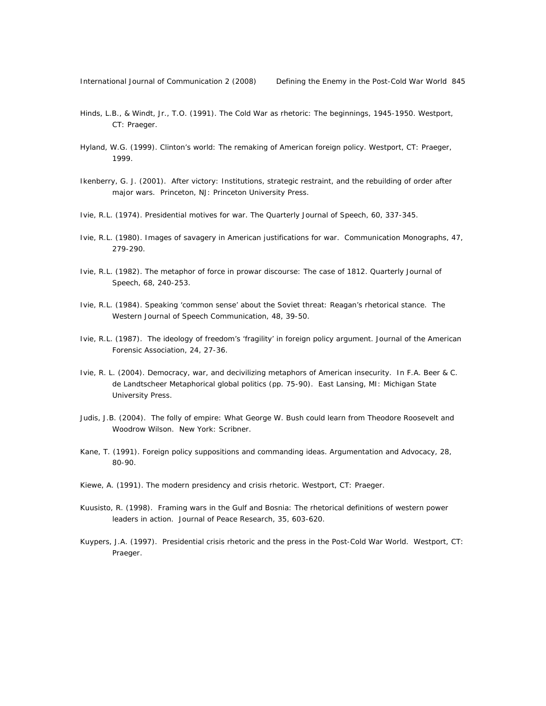- Hinds, L.B., & Windt, Jr., T.O. (1991). *The Cold War as rhetoric: The beginnings,* 1945-1950. Westport, CT: Praeger.
- Hyland, W.G. (1999). *Clinton's world: The remaking of American foreign policy.* Westport, CT: Praeger, 1999.
- Ikenberry, G. J. (2001). *After victory: Institutions, strategic restraint, and the rebuilding of order after major wars.* Princeton, NJ: Princeton University Press.
- Ivie, R.L. (1974). Presidential motives for war. *The Quarterly Journal of Speech,* 60, 337-345.
- Ivie, R.L. (1980). Images of savagery in American justifications for war. *Communication Monographs,* 47, 279-290.
- Ivie, R.L. (1982). The metaphor of force in prowar discourse: The case of 1812. *Quarterly Journal of Speech,* 68, 240-253.
- Ivie, R.L. (1984). Speaking 'common sense' about the Soviet threat: Reagan's rhetorical stance. *The Western Journal of Speech Communication,* 48, 39-50.
- Ivie, R.L. (1987). The ideology of freedom's 'fragility' in foreign policy argument. *Journal of the American Forensic Association,* 24, 27-36.
- Ivie, R. L. (2004). Democracy, war, and decivilizing metaphors of American insecurity. In F.A. Beer & C. de Landtscheer *Metaphorical global politics* (pp. 75-90). East Lansing, MI: Michigan State University Press.
- Judis, J.B. (2004). *The folly of empire: What George W. Bush could learn from Theodore Roosevelt and Woodrow Wilson*. New York: Scribner.
- Kane, T. (1991). Foreign policy suppositions and commanding ideas. *Argumentation and Advocacy,* 28, 80-90.
- Kiewe, A. (1991). *The modern presidency and crisis rhetoric.* Westport, CT: Praeger.
- Kuusisto, R. (1998). Framing wars in the Gulf and Bosnia: The rhetorical definitions of western power leaders in action. *Journal of Peace Research,* 35, 603-620.
- Kuypers, J.A. (1997). *Presidential crisis rhetoric and the press in the Post-Cold War World.* Westport, CT: Praeger.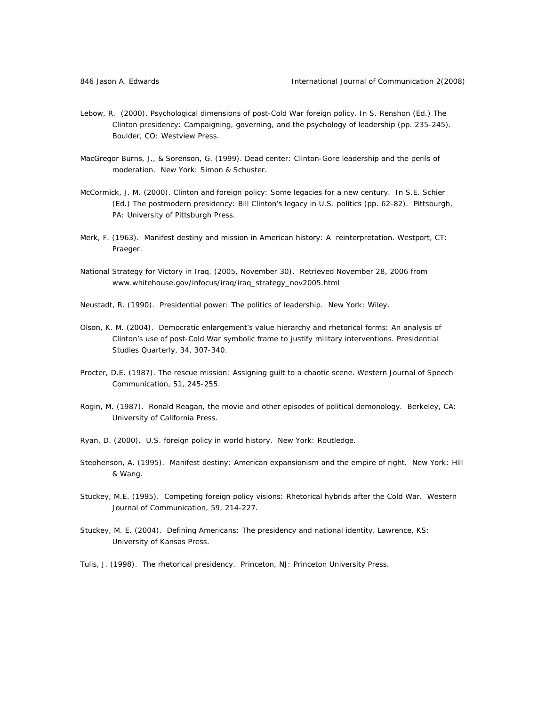- Lebow, R. (2000). Psychological dimensions of post-Cold War foreign policy. In S. Renshon (Ed.) *The Clinton presidency: Campaigning, governing, and the psychology of leadership* (pp. 235-245). Boulder, CO: Westview Press.
- MacGregor Burns, J., & Sorenson, G. (1999). *Dead center: Clinton-Gore leadership and the perils of moderation.* New York: Simon & Schuster.
- McCormick, J. M. (2000). Clinton and foreign policy: Some legacies for a new century. In S.E. Schier (Ed.) *The postmodern presidency: Bill Clinton's legacy in U.S. politics* (pp. 62-82). Pittsburgh, PA: University of Pittsburgh Press.
- Merk, F. (1963). *Manifest destiny and mission in American history: A reinterpretation*. Westport, CT: Praeger.
- *National Strategy for Victory in Iraq.* (2005, November 30). Retrieved November 28, 2006 from www.whitehouse.gov/infocus/iraq/iraq\_strategy\_nov2005.html
- Neustadt, R. (1990). *Presidential power: The politics of leadership*. New York: Wiley.
- Olson, K. M. (2004). Democratic enlargement's value hierarchy and rhetorical forms: An analysis of Clinton's use of post-Cold War symbolic frame to justify military interventions. *Presidential Studies Quarterly,* 34, 307-340.
- Procter, D.E. (1987). The rescue mission: Assigning guilt to a chaotic scene. *Western Journal of Speech Communication,* 51, 245-255.
- Rogin, M. (1987). *Ronald Reagan, the movie and other episodes of political demonology*. Berkeley, CA: University of California Press.
- Ryan, D. (2000). *U.S. foreign policy in world history*. New York: Routledge.
- Stephenson, A. (1995). *Manifest destiny: American expansionism and the empire of right*. New York: Hill & Wang.
- Stuckey, M.E. (1995). Competing foreign policy visions: Rhetorical hybrids after the Cold War. *Western Journal of Communication,* 59, 214-227.
- Stuckey, M. E. (2004). *Defining Americans: The presidency and national identity.* Lawrence, KS: University of Kansas Press.
- Tulis, J. (1998). *The rhetorical presidency*. Princeton, NJ: Princeton University Press.